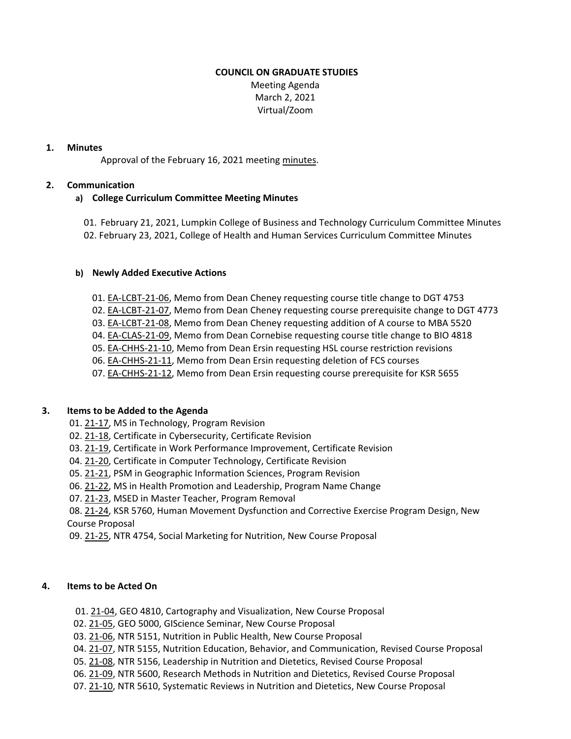#### **COUNCIL ON GRADUATE STUDIES**

 Meeting Agenda March 2, 2021 Virtual/Zoom

### **1. Minutes**

Approval of the February 16, 2021 meeting [minutes.](https://castle.eiu.edu/~eiucgs/currentminutes/Minutes2-16-21.pdf)

## **2. Communication**

# **a) College Curriculum Committee Meeting Minutes**

01. February 21, 2021, Lumpkin College of Business and Technology Curriculum Committee Minutes 02. February 23, 2021, College of Health and Human Services Curriculum Committee Minutes

#### **b) Newly Added Executive Actions**

- 01. EA‐[LCBT](https://castle.eiu.edu/eiucgs/exec-actions/EA-LCBT-21-06.pdf)‐21‐06, Memo from Dean Cheney requesting course title change to DGT 4753
- 02. EA‐[LCBT](https://castle.eiu.edu/eiucgs/exec-actions/EA-LCBT-21-07.pdf)‐21‐07, Memo from Dean Cheney requesting course prerequisite change to DGT 4773
- 03. EA‐[LCBT](https://castle.eiu.edu/eiucgs/exec-actions/EA-LCBT-21-08.pdf)‐21‐08, Memo from Dean Cheney requesting addition of A course to MBA 5520
- 04. EA‐[CLAS](https://castle.eiu.edu/eiucgs/exec-actions/EA-CLAS-21-09.pdf)‐21‐09, Memo from Dean Cornebise requesting course title change to BIO 4818
- 05. EA‐[CHHS](https://castle.eiu.edu/eiucgs/exec-actions/EA-CHHS-21-10.pdf)‐21‐10, Memo from Dean Ersin requesting HSL course restriction revisions
- 06. EA‐[CHHS](https://castle.eiu.edu/eiucgs/exec-actions/EA-CHHS-21-11.pdf)‐21‐11, Memo from Dean Ersin requesting deletion of FCS courses
- 07. EA-[CHHS](https://castle.eiu.edu/eiucgs/exec-actions/EA-CHHS-21-12.pdf)-21-12, Memo from Dean Ersin requesting course prerequisite for KSR 5655

# **3. Items to be Added to the Agenda**

- 01. 21‐[17,](https://castle.eiu.edu/eiucgs/currentagendaitems/agenda21-17.pdf) MS in Technology, Program Revision
- 02. 21-[18,](https://castle.eiu.edu/eiucgs/currentagendaitems/agenda21-18.pdf) Certificate in Cybersecurity, Certificate Revision
- 03. 21‐[19,](https://castle.eiu.edu/eiucgs/currentagendaitems/agenda21-19.pdf) Certificate in Work Performance Improvement, Certificate Revision
- 04. 21‐[20,](https://castle.eiu.edu/eiucgs/currentagendaitems/agenda21-20.pdf) Certificate in Computer Technology, Certificate Revision
- 05. 21‐[21,](https://castle.eiu.edu/eiucgs/currentagendaitems/agenda21-21.pdf) PSM in Geographic Information Sciences, Program Revision
- 06. 21‐[22,](https://castle.eiu.edu/eiucgs/currentagendaitems/agenda21-22.pdf) MS in Health Promotion and Leadership, Program Name Change
- 07. 21‐[23,](https://castle.eiu.edu/eiucgs/currentagendaitems/agenda21-23.pdf) MSED in Master Teacher, Program Removal
- 08. [21](https://castle.eiu.edu/eiucgs/currentagendaitems/agenda21-24.pdf)-24, KSR 5760, Human Movement Dysfunction and Corrective Exercise Program Design, New Course Proposal

09. 21-[25,](https://castle.eiu.edu/eiucgs/currentagendaitems/agenda21-25.pdf) NTR 4754, Social Marketing for Nutrition, New Course Proposal

# **4. Items to be Acted On**

- 01. 21-[04,](https://castle.eiu.edu/eiucgs/currentagendaitems/agenda21-04.pdf) GEO 4810, Cartography and Visualization, New Course Proposal
- 02. 21-[05,](https://castle.eiu.edu/eiucgs/currentagendaitems/agenda21-05.pdf) GEO 5000, GIScience Seminar, New Course Proposal
- 03. 21-[06,](https://castle.eiu.edu/eiucgs/currentagendaitems/agenda21-06.pdf) NTR 5151, Nutrition in Public Health, New Course Proposal
- 04. 21‐[07,](https://castle.eiu.edu/eiucgs/currentagendaitems/agenda21-07.pdf) NTR 5155, Nutrition Education, Behavior, and Communication, Revised Course Proposal
- 05. 21-[08,](https://castle.eiu.edu/eiucgs/currentagendaitems/agenda21-08.pdf) NTR 5156, Leadership in Nutrition and Dietetics, Revised Course Proposal
- 06. 21‐[09,](https://castle.eiu.edu/eiucgs/currentagendaitems/agenda21-09.pdf) NTR 5600, Research Methods in Nutrition and Dietetics, Revised Course Proposal
- 07. 21-[10,](https://castle.eiu.edu/eiucgs/currentagendaitems/agenda21-10.pdf) NTR 5610, Systematic Reviews in Nutrition and Dietetics, New Course Proposal